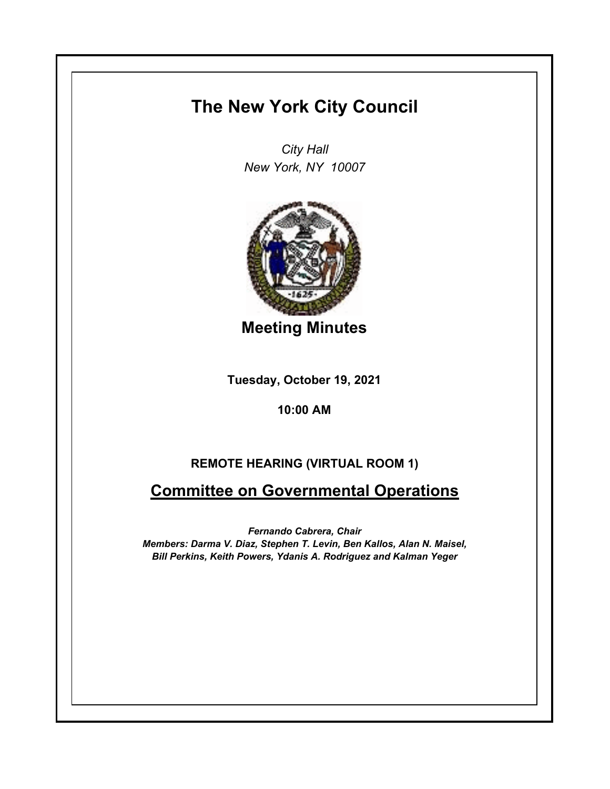# **The New York City Council**

*City Hall New York, NY 10007*



**Meeting Minutes**

**Tuesday, October 19, 2021**

### **10:00 AM**

## **REMOTE HEARING (VIRTUAL ROOM 1)**

## **Committee on Governmental Operations**

*Fernando Cabrera, Chair Members: Darma V. Diaz, Stephen T. Levin, Ben Kallos, Alan N. Maisel, Bill Perkins, Keith Powers, Ydanis A. Rodriguez and Kalman Yeger*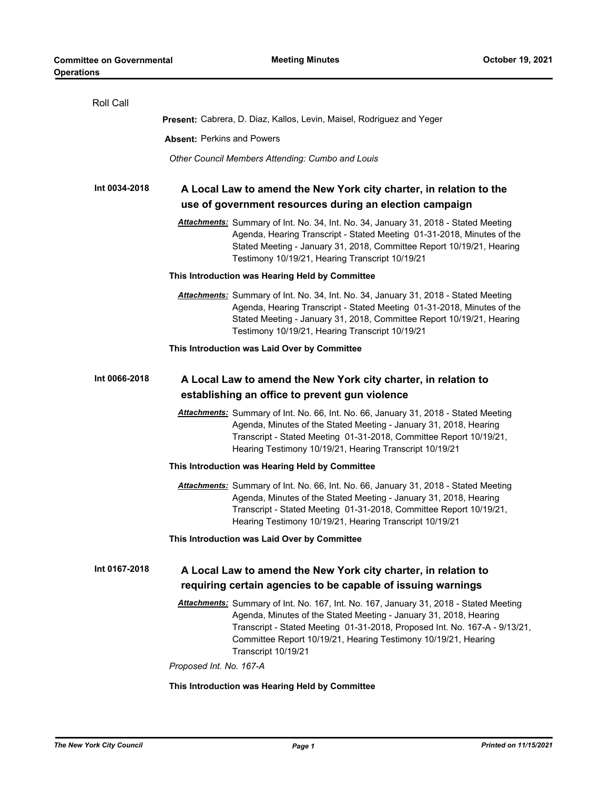| Roll Call     |                                                                                                                                                                                                                                                                                                                                   |
|---------------|-----------------------------------------------------------------------------------------------------------------------------------------------------------------------------------------------------------------------------------------------------------------------------------------------------------------------------------|
|               | Present: Cabrera, D. Diaz, Kallos, Levin, Maisel, Rodriguez and Yeger                                                                                                                                                                                                                                                             |
|               | <b>Absent: Perkins and Powers</b>                                                                                                                                                                                                                                                                                                 |
|               | Other Council Members Attending: Cumbo and Louis                                                                                                                                                                                                                                                                                  |
| Int 0034-2018 | A Local Law to amend the New York city charter, in relation to the<br>use of government resources during an election campaign                                                                                                                                                                                                     |
|               | Attachments: Summary of Int. No. 34, Int. No. 34, January 31, 2018 - Stated Meeting<br>Agenda, Hearing Transcript - Stated Meeting 01-31-2018, Minutes of the<br>Stated Meeting - January 31, 2018, Committee Report 10/19/21, Hearing<br>Testimony 10/19/21, Hearing Transcript 10/19/21                                         |
|               | This Introduction was Hearing Held by Committee                                                                                                                                                                                                                                                                                   |
|               | Attachments: Summary of Int. No. 34, Int. No. 34, January 31, 2018 - Stated Meeting<br>Agenda, Hearing Transcript - Stated Meeting 01-31-2018, Minutes of the<br>Stated Meeting - January 31, 2018, Committee Report 10/19/21, Hearing<br>Testimony 10/19/21, Hearing Transcript 10/19/21                                         |
|               | This Introduction was Laid Over by Committee                                                                                                                                                                                                                                                                                      |
| Int 0066-2018 | A Local Law to amend the New York city charter, in relation to<br>establishing an office to prevent gun violence                                                                                                                                                                                                                  |
|               | Attachments: Summary of Int. No. 66, Int. No. 66, January 31, 2018 - Stated Meeting<br>Agenda, Minutes of the Stated Meeting - January 31, 2018, Hearing<br>Transcript - Stated Meeting 01-31-2018, Committee Report 10/19/21,<br>Hearing Testimony 10/19/21, Hearing Transcript 10/19/21                                         |
|               | This Introduction was Hearing Held by Committee                                                                                                                                                                                                                                                                                   |
|               | Attachments: Summary of Int. No. 66, Int. No. 66, January 31, 2018 - Stated Meeting<br>Agenda, Minutes of the Stated Meeting - January 31, 2018, Hearing<br>Transcript - Stated Meeting 01-31-2018, Committee Report 10/19/21,<br>Hearing Testimony 10/19/21, Hearing Transcript 10/19/21                                         |
|               | This Introduction was Laid Over by Committee                                                                                                                                                                                                                                                                                      |
| Int 0167-2018 | A Local Law to amend the New York city charter, in relation to                                                                                                                                                                                                                                                                    |
|               | requiring certain agencies to be capable of issuing warnings                                                                                                                                                                                                                                                                      |
|               | Attachments: Summary of Int. No. 167, Int. No. 167, January 31, 2018 - Stated Meeting<br>Agenda, Minutes of the Stated Meeting - January 31, 2018, Hearing<br>Transcript - Stated Meeting 01-31-2018, Proposed Int. No. 167-A - 9/13/21,<br>Committee Report 10/19/21, Hearing Testimony 10/19/21, Hearing<br>Transcript 10/19/21 |
|               | Proposed Int. No. 167-A                                                                                                                                                                                                                                                                                                           |
|               | This Introduction was Hearing Held by Committee                                                                                                                                                                                                                                                                                   |